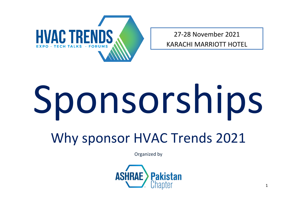

27-28 November 2021

KARACHI MARRIOTT HOTEL

# Sponsorships

Why sponsor HVAC Trends 2021

Organized by

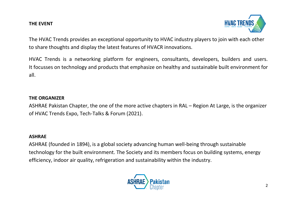#### **THE EVENT**



The HVAC Trends provides an exceptional opportunity to HVAC industry players to join with each other to share thoughts and display the latest features of HVACR innovations.

HVAC Trends is a networking platform for engineers, consultants, developers, builders and users. It focusses on technology and products that emphasize on healthy and sustainable built environment for all.

### **THE ORGANIZER**

ASHRAE Pakistan Chapter, the one of the more active chapters in RAL – Region At Large, is the organizer of HVAC Trends Expo, Tech-Talks & Forum (2021).

#### **ASHRAE**

ASHRAE (founded in 1894), is a global society advancing human well-being through sustainable technology for the built environment. The Society and its members focus on building systems, energy efficiency, indoor air quality, refrigeration and sustainability within the industry.

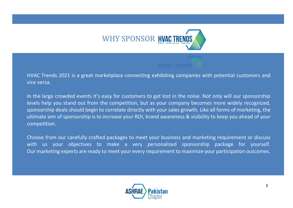

HVAC Trends 2021 is a great marketplace connecting exhibiting companies with potential customers and vice versa.

In the large crowded events it's easy for customers to get lost in the noise. Not only will our sponsorship levels help you stand out from the competition, but as your company becomes more widely recognized, sponsorship deals should begin to correlate directly with your sales growth. Like all forms of marketing, the ultimate aim of sponsorship is to increase your ROI, brand awareness & visibility to keep you ahead of your competition.

Choose from our carefully crafted packages to meet your business and marketing requirement or discuss with us your objectives to make a very personalized sponsorship package for yourself. Our marketing experts are ready to meet your every requirement to maximize your participation outcomes.

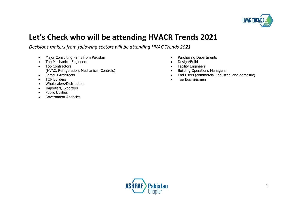

## **Let's Check who will be attending HVACR Trends 2021**

*Decisions makers from following sectors will be attending HVAC Trends 2021*

- Major Consulting Firms from Pakistan
- Top Mechanical Engineers
- Top Contractors (HVAC, Refrigeration, Mechanical, Controls)
- Famous Architects
- TOP Builders
- Wholesalers/Distributors
- Importers/Exporters
- Public Utilities
- Government Agencies
- Purchasing Departments
- Design/Build
- Facility Engineers
- Building Operations Managers
- End Users (commercial, industrial and domestic)
- Top Businessmen

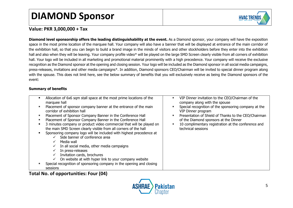## **DIAMOND Sponsor**



#### **Value: PKR 3,000,000 + Tax**

**Diamond level sponsorship offers the leading distinguishability at the event.** As a Diamond sponsor, your company will have the exposition space in the most prime location of the marquee hall. Your company will also have a banner that will be displayed at entrance of the main corridor of the exhibition hall, so that you can begin to build a brand image in the minds of visitors and other stockholders before they enter into the exhibition hall and also when they will be leaving. Your company profile video\* will be played on the large SMD Screen clearly visible from all corners of exhibition hall. Your logo will be included in all marketing and promotional material prominently with a high precedence. Your company will receive the exclusive recognition as the Diamond sponsor at the opening and closing session. Your logo will be included as the Diamond sponsor in all social media campaigns, press-releases, invitations and other media campaigns\*. In addition, Diamond sponsors CEO/Chairman will be invited to special dinner program along with the spouse. This does not limit here, see the below summary of benefits that you will exclusively receive as being the Diamond sponsors of the event:

#### **Summary of benefits**

| Allocation of 6x6 sqm stall space at the most prime locations of the                           | ٠ | VIP Dinner invitation to the CEO/Chairman of the                           |
|------------------------------------------------------------------------------------------------|---|----------------------------------------------------------------------------|
| marquee hall                                                                                   |   | company along with the spouse                                              |
| Placement of sponsor company banner at the entrance of the main<br>corridor of exhibition hall |   | Special recognition of the sponsoring company at the<br>VIP Dinner program |
| Placement of Sponsor Company Banner in the Conference Hall                                     | ٠ | Presentation of Shield of Thanks to the CEO/Chairman                       |
| Placement of Sponsor Company Banner in the Conference Hall                                     |   | of the Diamond sponsors at the Dinner                                      |
| 3 minutes company or product video commercial that will be played on                           |   | 10 complimentary registration at the conference and                        |
| the main SMD Screen clearly visible from all corners of the hall                               |   | technical sessions                                                         |
| Sponsoring company logo will be included with highest precedence at                            |   |                                                                            |
| Side banner of conference area                                                                 |   |                                                                            |
| Media wall<br>✓                                                                                |   |                                                                            |
| In all social media, other media campaigns<br>v                                                |   |                                                                            |
| In press-releases                                                                              |   |                                                                            |
| Invitation cards, brochures<br>$\checkmark$                                                    |   |                                                                            |
| On website at with hyper link to your company website                                          |   |                                                                            |
| Special recognition of sponsoring company in the opening and closing                           |   |                                                                            |
| sessions                                                                                       |   |                                                                            |

**Total No. of opportunities: Four (04)**

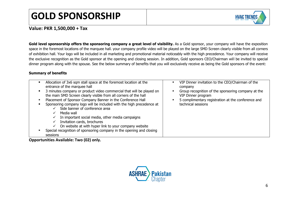## **GOLD SPONSORSHIP**



**Value: PKR 1,500,000 + Tax**

Gold level sponsorship offers the sponsoring company a great level of visibility. As a Gold sponsor, your company will have the exposition space in the foremost locations of the marquee hall. your company profile video will be played on the large SMD Screen clearly visible from all corners of exhibition hall. Your logo will be included in all marketing and promotional material noticeably with the high precedence. Your company will receive the exclusive recognition as the Gold sponsor at the opening and closing session. In addition, Gold sponsors CEO/Chairman will be invited to special dinner program along with the spouse. See the below summary of benefits that you will exclusively receive as being the Gold sponsors of the event:

#### **Summary of benefits**

| Allocation of 3x6 sqm stall space at the foremost location at the<br>entrance of the marquee hall                                                                                                                                                                                                                                                                                                                                                                                                          | VIP Dinner invitation to the CEO/Chairman of the<br>٠<br>company                                                                                     |
|------------------------------------------------------------------------------------------------------------------------------------------------------------------------------------------------------------------------------------------------------------------------------------------------------------------------------------------------------------------------------------------------------------------------------------------------------------------------------------------------------------|------------------------------------------------------------------------------------------------------------------------------------------------------|
| 3 minutes company or product video commercial that will be played on<br>the main SMD Screen clearly visible from all corners of the hall<br>Placement of Sponsor Company Banner in the Conference Hall<br>Sponsoring company logo will be included with the high precedence at<br>Side banner of conference area<br>Media wall<br>In important social media, other media campaigns<br>Invitation cards, brochures<br>$\checkmark$<br>On website at with hyper link to your company website<br>$\checkmark$ | Group recognition of the sponsoring company at the<br>VIP Dinner program<br>5 complimentary registration at the conference and<br>technical sessions |
| Special recognition of sponsoring company in the opening and closing<br>sessions                                                                                                                                                                                                                                                                                                                                                                                                                           |                                                                                                                                                      |

**Opportunities Available: Two (02) only.**

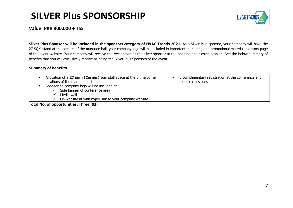## **SILVER Plus SPONSORSHIP**



#### **Value: PKR 900,000 + Tax**

**Silver Plus Sponsor will be included in the sponsors category of HVAC Trends 2021.** As a Silver Plus sponsor, your company will have the 27 SQM stand at the corners of the marquee hall. your company logo will be included in important marketing and promotional material sponsors page of the event website. Your company will receive the recognition as the silver sponsor at the opening and closing session. See the below summary of benefits that you will exclusively receive as being the Silver Plus Sponsors of the event:

#### **Summary of benefits**

| Allocation of a 27 sqm (Corner) sqm stall space at the prime corner                                                                                  | 5 complimentary registration at the conference and |
|------------------------------------------------------------------------------------------------------------------------------------------------------|----------------------------------------------------|
| locations of the marquee hall                                                                                                                        | technical sessions                                 |
| Sponsoring company logo will be included at<br>Side banner of conference area<br>Media wall<br>On website at with hyper link to your company website |                                                    |

**Total No. of opportunities: Three (03)**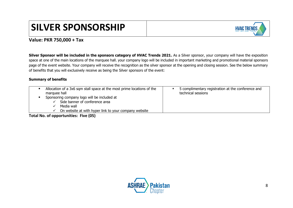## **SILVER SPONSORSHIP**



#### **Value: PKR 750,000 + Tax**

**Silver Sponsor will be included in the sponsors category of HVAC Trends 2021.** As a Silver sponsor, your company will have the exposition space at one of the main locations of the marquee hall. your company logo will be included in important marketing and promotional material sponsors page of the event website. Your company will receive the recognition as the silver sponsor at the opening and closing session. See the below summary of benefits that you will exclusively receive as being the Silver sponsors of the event:

#### **Summary of benefits**

|                                                                                                                                                                      | Allocation of a 3x6 sqm stall space at the most prime locations of the<br>marquee hall |  | 5 complimentary registration at the conference and<br>technical sessions |
|----------------------------------------------------------------------------------------------------------------------------------------------------------------------|----------------------------------------------------------------------------------------|--|--------------------------------------------------------------------------|
| Sponsoring company logo will be included at<br>Side banner of conference area<br>Media wall<br>On website at with hyper link to your company website<br>$\checkmark$ |                                                                                        |  |                                                                          |

**Total No. of opportunities: Five (05)**

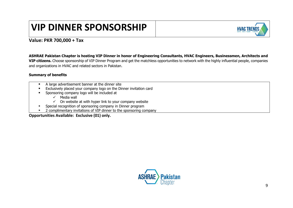## **VIP DINNER SPONSORSHIP**



#### **Value: PKR 700,000 + Tax**

**ASHRAE Pakistan Chapter is hosting VIP Dinner in honor of Engineering Consultants, HVAC Engineers, Businessmen, Architects and VIP citizens.** Choose sponsorship of VIP Dinner Program and get the matchless opportunities to network with the highly influential people, companies and organizations in HVAC and related sectors in Pakistan.

#### **Summary of benefits**

- A large advertisement banner at the dinner site
- **Exclusively placed your company logo on the Dinner invitation card**
- Sponsoring company logo will be included at
	- $\checkmark$  Media wall
	- $\checkmark$  On website at with hyper link to your company website
- Special recognition of sponsoring company in Dinner program
- 2 complimentary invitations of VIP dinner to the sponsoring company

**Opportunities Available: Exclusive (01) only.**

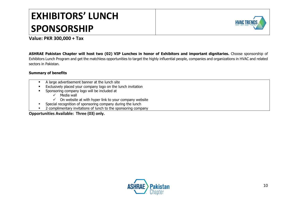## **EXHIBITORS' LUNCH SPONSORSHIP**



#### **Value: PKR 300,000 + Tax**

**ASHRAE Pakistan Chapter will host two (02) VIP Lunches in honor of Exhibitors and important dignitaries.** Choose sponsorship of Exhibitors Lunch Program and get the matchless opportunities to target the highly influential people, companies and organizations in HVAC and related sectors in Pakistan.

#### **Summary of benefits**

- A large advertisement banner at the lunch site
- **Exclusively placed your company logo on the lunch invitation**
- Sponsoring company logo will be included at
	- $\checkmark$  Media wall
	- $\checkmark$  On website at with hyper link to your company website
- Special recognition of sponsoring company during the lunch
- 2 complimentary invitations of lunch to the sponsoring company

**Opportunities Available: Three (03) only.**

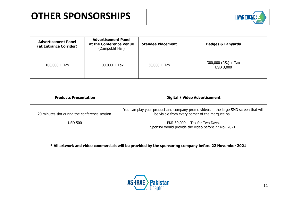

| <b>Advertisement Panel</b><br>(at Entrance Corridor) | <b>Advertisement Panel</b><br>at the Conference Venue<br>(Dampukht Hall) | <b>Standee Placement</b> | <b>Badges &amp; Lanyards</b>       |
|------------------------------------------------------|--------------------------------------------------------------------------|--------------------------|------------------------------------|
| $100,000 + Tax$                                      | $100,000 + Tax$                                                          | $30,000 + Tax$           | $300,000$ (RS.) + Tax<br>USD 3,000 |

| <b>Products Presentation</b>                   | Digital / Video Advertisement                                                                                                             |
|------------------------------------------------|-------------------------------------------------------------------------------------------------------------------------------------------|
| 20 minutes slot during the conference session. | You can play your product and company promo videos in the large SMD screen that will<br>be visible from every corner of the marquee hall. |
| <b>USD 500</b>                                 | PKR 30,000 $+$ Tax for Two Days.<br>Sponsor would provide the video before 22 Nov 2021.                                                   |

**\* All artwork and video commercials will be provided by the sponsoring company before 22 November 2021**